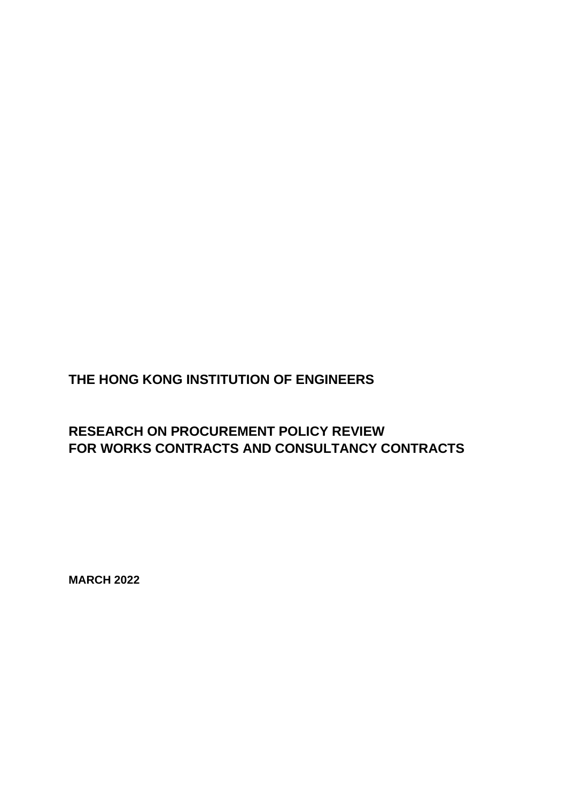# **MARCH 2022**

## **RESEARCH ON PROCUREMENT POLICY REVIEW FOR WORKS CONTRACTS AND CONSULTANCY CONTRACTS**

**THE HONG KONG INSTITUTION OF ENGINEERS**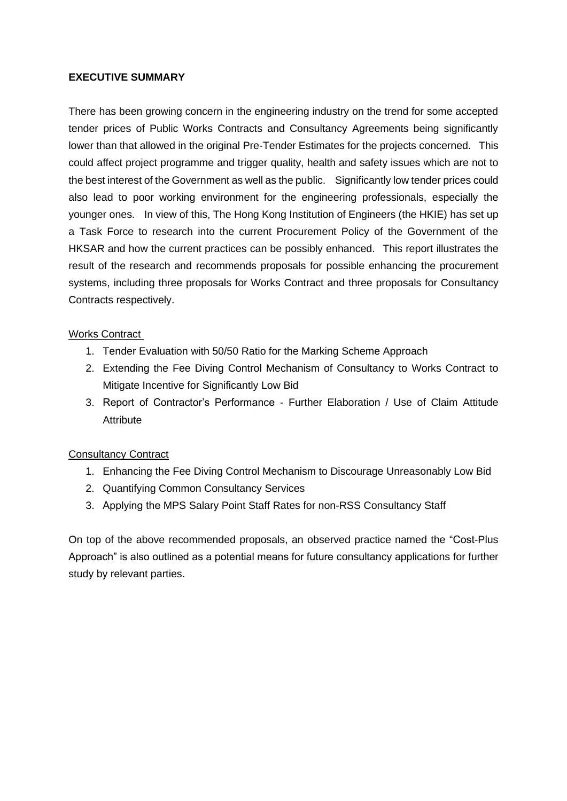#### **EXECUTIVE SUMMARY**

There has been growing concern in the engineering industry on the trend for some accepted tender prices of Public Works Contracts and Consultancy Agreements being significantly lower than that allowed in the original Pre-Tender Estimates for the projects concerned. This could affect project programme and trigger quality, health and safety issues which are not to the best interest of the Government as well as the public. Significantly low tender prices could also lead to poor working environment for the engineering professionals, especially the younger ones. In view of this, The Hong Kong Institution of Engineers (the HKIE) has set up a Task Force to research into the current Procurement Policy of the Government of the HKSAR and how the current practices can be possibly enhanced. This report illustrates the result of the research and recommends proposals for possible enhancing the procurement systems, including three proposals for Works Contract and three proposals for Consultancy Contracts respectively.

#### Works Contract

- 1. Tender Evaluation with 50/50 Ratio for the Marking Scheme Approach
- 2. Extending the Fee Diving Control Mechanism of Consultancy to Works Contract to Mitigate Incentive for Significantly Low Bid
- 3. Report of Contractor's Performance Further Elaboration / Use of Claim Attitude **Attribute**

#### Consultancy Contract

- 1. Enhancing the Fee Diving Control Mechanism to Discourage Unreasonably Low Bid
- 2. Quantifying Common Consultancy Services
- 3. Applying the MPS Salary Point Staff Rates for non-RSS Consultancy Staff

On top of the above recommended proposals, an observed practice named the "Cost-Plus Approach" is also outlined as a potential means for future consultancy applications for further study by relevant parties.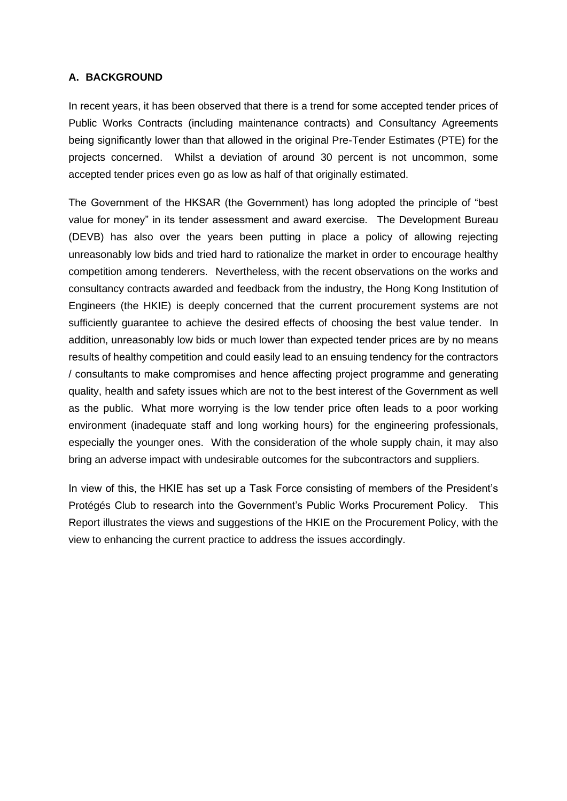#### **A. BACKGROUND**

In recent years, it has been observed that there is a trend for some accepted tender prices of Public Works Contracts (including maintenance contracts) and Consultancy Agreements being significantly lower than that allowed in the original Pre-Tender Estimates (PTE) for the projects concerned. Whilst a deviation of around 30 percent is not uncommon, some accepted tender prices even go as low as half of that originally estimated.

The Government of the HKSAR (the Government) has long adopted the principle of "best value for money" in its tender assessment and award exercise. The Development Bureau (DEVB) has also over the years been putting in place a policy of allowing rejecting unreasonably low bids and tried hard to rationalize the market in order to encourage healthy competition among tenderers. Nevertheless, with the recent observations on the works and consultancy contracts awarded and feedback from the industry, the Hong Kong Institution of Engineers (the HKIE) is deeply concerned that the current procurement systems are not sufficiently guarantee to achieve the desired effects of choosing the best value tender. In addition, unreasonably low bids or much lower than expected tender prices are by no means results of healthy competition and could easily lead to an ensuing tendency for the contractors / consultants to make compromises and hence affecting project programme and generating quality, health and safety issues which are not to the best interest of the Government as well as the public. What more worrying is the low tender price often leads to a poor working environment (inadequate staff and long working hours) for the engineering professionals, especially the younger ones. With the consideration of the whole supply chain, it may also bring an adverse impact with undesirable outcomes for the subcontractors and suppliers.

In view of this, the HKIE has set up a Task Force consisting of members of the President's Protégés Club to research into the Government's Public Works Procurement Policy. This Report illustrates the views and suggestions of the HKIE on the Procurement Policy, with the view to enhancing the current practice to address the issues accordingly.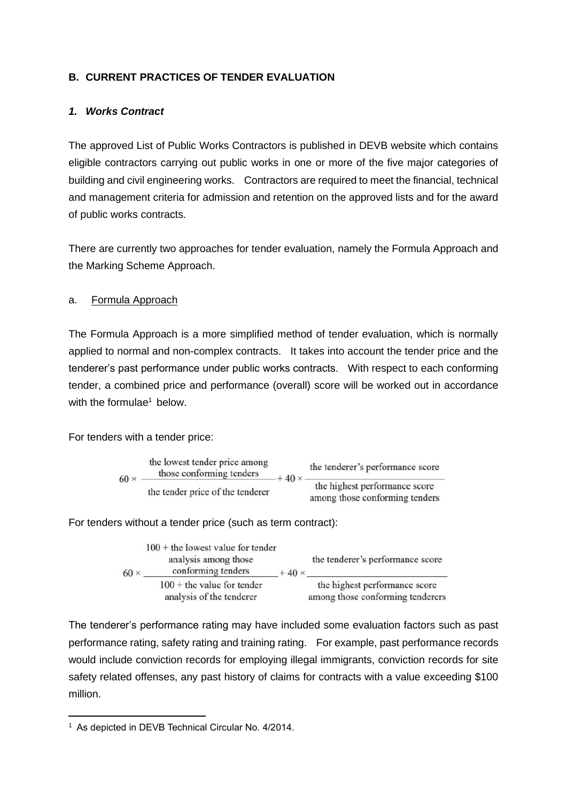#### **B. CURRENT PRACTICES OF TENDER EVALUATION**

#### *1. Works Contract*

The approved List of Public Works Contractors is published in DEVB website which contains eligible contractors carrying out public works in one or more of the five major categories of building and civil engineering works. Contractors are required to meet the financial, technical and management criteria for admission and retention on the approved lists and for the award of public works contracts.

There are currently two approaches for tender evaluation, namely the Formula Approach and the Marking Scheme Approach.

#### a. Formula Approach

The Formula Approach is a more simplified method of tender evaluation, which is normally applied to normal and non-complex contracts. It takes into account the tender price and the tenderer's past performance under public works contracts. With respect to each conforming tender, a combined price and performance (overall) score will be worked out in accordance with the formulae<sup>1</sup> below.

For tenders with a tender price:



For tenders without a tender price (such as term contract):

| $60 \times$ | $100 +$ the lowest value for tender<br>analysis among those<br>conforming tenders | $+40 \times$ | the tenderer's performance score                                  |
|-------------|-----------------------------------------------------------------------------------|--------------|-------------------------------------------------------------------|
|             | $100 +$ the value for tender<br>analysis of the tenderer                          |              | the highest performance score<br>among those conforming tenderers |

The tenderer's performance rating may have included some evaluation factors such as past performance rating, safety rating and training rating. For example, past performance records would include conviction records for employing illegal immigrants, conviction records for site safety related offenses, any past history of claims for contracts with a value exceeding \$100 million.

<sup>1</sup> As depicted in DEVB Technical Circular No. 4/2014.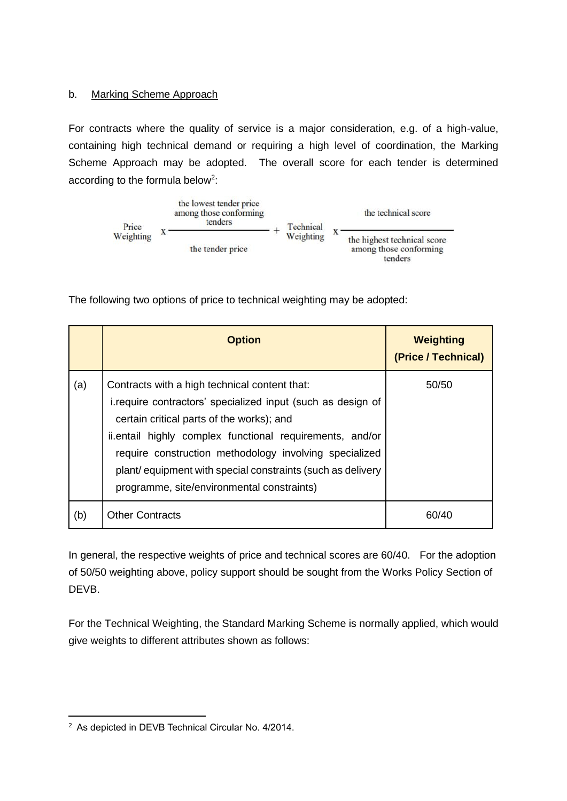#### b. Marking Scheme Approach

For contracts where the quality of service is a major consideration, e.g. of a high-value, containing high technical demand or requiring a high level of coordination, the Marking Scheme Approach may be adopted. The overall score for each tender is determined according to the formula below<sup>2</sup>:



The following two options of price to technical weighting may be adopted:

|     | <b>Option</b>                                                                                                                                                                                                                                                                                                                                                                                | <b>Weighting</b><br>(Price / Technical) |
|-----|----------------------------------------------------------------------------------------------------------------------------------------------------------------------------------------------------------------------------------------------------------------------------------------------------------------------------------------------------------------------------------------------|-----------------------------------------|
| (a) | Contracts with a high technical content that:<br>i.require contractors' specialized input (such as design of<br>certain critical parts of the works); and<br>ii.entail highly complex functional requirements, and/or<br>require construction methodology involving specialized<br>plant/ equipment with special constraints (such as delivery<br>programme, site/environmental constraints) | 50/50                                   |
| (b) | <b>Other Contracts</b>                                                                                                                                                                                                                                                                                                                                                                       | 60/40                                   |

In general, the respective weights of price and technical scores are 60/40. For the adoption of 50/50 weighting above, policy support should be sought from the Works Policy Section of DEVB.

For the Technical Weighting, the Standard Marking Scheme is normally applied, which would give weights to different attributes shown as follows:

<sup>2</sup> As depicted in DEVB Technical Circular No. 4/2014.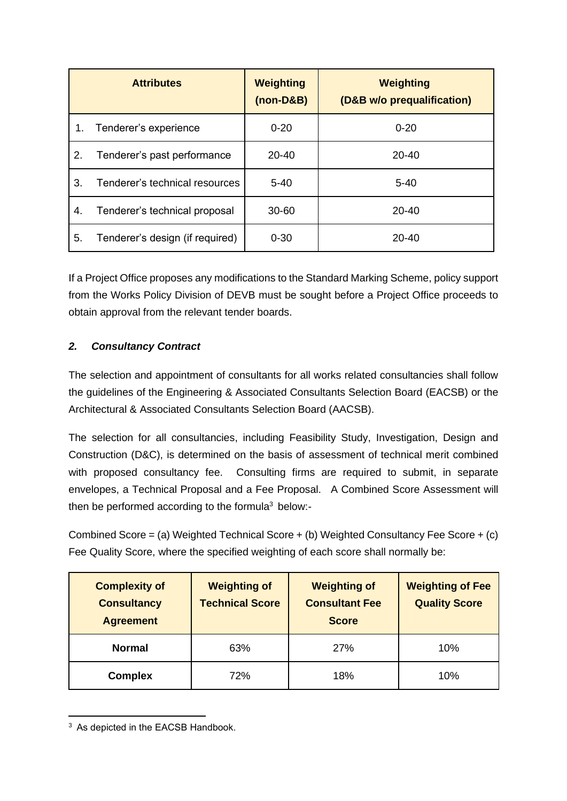|    | <b>Attributes</b>               | <b>Weighting</b><br>$(non-D&B)$ | <b>Weighting</b><br>(D&B w/o prequalification) |
|----|---------------------------------|---------------------------------|------------------------------------------------|
| 1. | Tenderer's experience           | $0 - 20$                        | $0 - 20$                                       |
| 2. | Tenderer's past performance     | $20 - 40$                       | $20 - 40$                                      |
| 3. | Tenderer's technical resources  | $5 - 40$                        | $5 - 40$                                       |
| 4. | Tenderer's technical proposal   | $30 - 60$                       | $20 - 40$                                      |
| 5. | Tenderer's design (if required) | $0 - 30$                        | $20 - 40$                                      |

If a Project Office proposes any modifications to the Standard Marking Scheme, policy support from the Works Policy Division of DEVB must be sought before a Project Office proceeds to obtain approval from the relevant tender boards.

## *2. Consultancy Contract*

The selection and appointment of consultants for all works related consultancies shall follow the guidelines of the Engineering & Associated Consultants Selection Board (EACSB) or the Architectural & Associated Consultants Selection Board (AACSB).

The selection for all consultancies, including Feasibility Study, Investigation, Design and Construction (D&C), is determined on the basis of assessment of technical merit combined with proposed consultancy fee. Consulting firms are required to submit, in separate envelopes, a Technical Proposal and a Fee Proposal. A Combined Score Assessment will then be performed according to the formula<sup>3</sup> below:-

Combined Score = (a) Weighted Technical Score + (b) Weighted Consultancy Fee Score + (c) Fee Quality Score, where the specified weighting of each score shall normally be:

| <b>Complexity of</b><br><b>Consultancy</b><br><b>Agreement</b> | <b>Weighting of</b><br><b>Technical Score</b> | <b>Weighting of</b><br><b>Consultant Fee</b><br><b>Score</b> | <b>Weighting of Fee</b><br><b>Quality Score</b> |
|----------------------------------------------------------------|-----------------------------------------------|--------------------------------------------------------------|-------------------------------------------------|
| <b>Normal</b>                                                  | 63%                                           | <b>27%</b>                                                   | 10%                                             |
| <b>Complex</b>                                                 | 72%                                           | 18%                                                          | 10%                                             |

<sup>&</sup>lt;sup>3</sup> As depicted in the EACSB Handbook.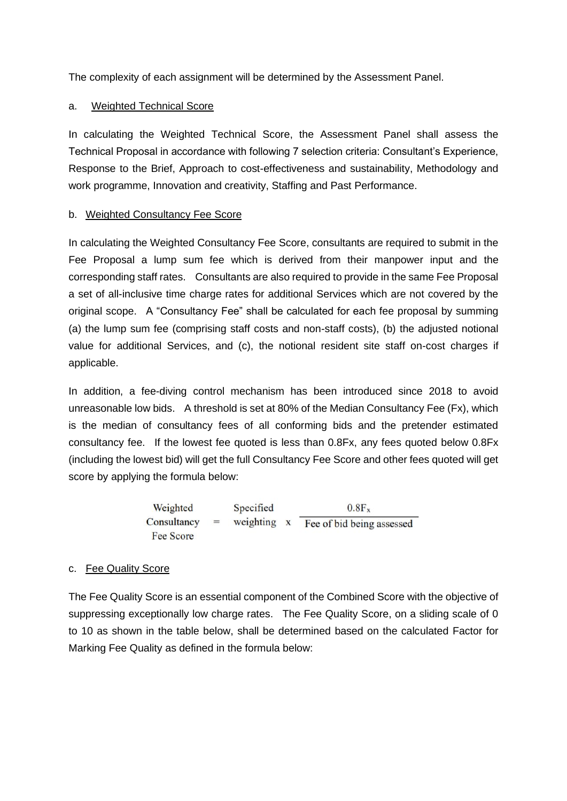The complexity of each assignment will be determined by the Assessment Panel.

#### a. Weighted Technical Score

In calculating the Weighted Technical Score, the Assessment Panel shall assess the Technical Proposal in accordance with following 7 selection criteria: Consultant's Experience, Response to the Brief, Approach to cost-effectiveness and sustainability, Methodology and work programme, Innovation and creativity, Staffing and Past Performance.

#### b. Weighted Consultancy Fee Score

In calculating the Weighted Consultancy Fee Score, consultants are required to submit in the Fee Proposal a lump sum fee which is derived from their manpower input and the corresponding staff rates. Consultants are also required to provide in the same Fee Proposal a set of all-inclusive time charge rates for additional Services which are not covered by the original scope. A "Consultancy Fee" shall be calculated for each fee proposal by summing (a) the lump sum fee (comprising staff costs and non-staff costs), (b) the adjusted notional value for additional Services, and (c), the notional resident site staff on-cost charges if applicable.

In addition, a fee-diving control mechanism has been introduced since 2018 to avoid unreasonable low bids. A threshold is set at 80% of the Median Consultancy Fee (Fx), which is the median of consultancy fees of all conforming bids and the pretender estimated consultancy fee. If the lowest fee quoted is less than 0.8Fx, any fees quoted below 0.8Fx (including the lowest bid) will get the full Consultancy Fee Score and other fees quoted will get score by applying the formula below:

Weighted  
Consultancy = Weighting x 
$$
\overline{e}
$$
  $0.8F_x$   
Free Score

### c. Fee Quality Score

The Fee Quality Score is an essential component of the Combined Score with the objective of suppressing exceptionally low charge rates. The Fee Quality Score, on a sliding scale of 0 to 10 as shown in the table below, shall be determined based on the calculated Factor for Marking Fee Quality as defined in the formula below: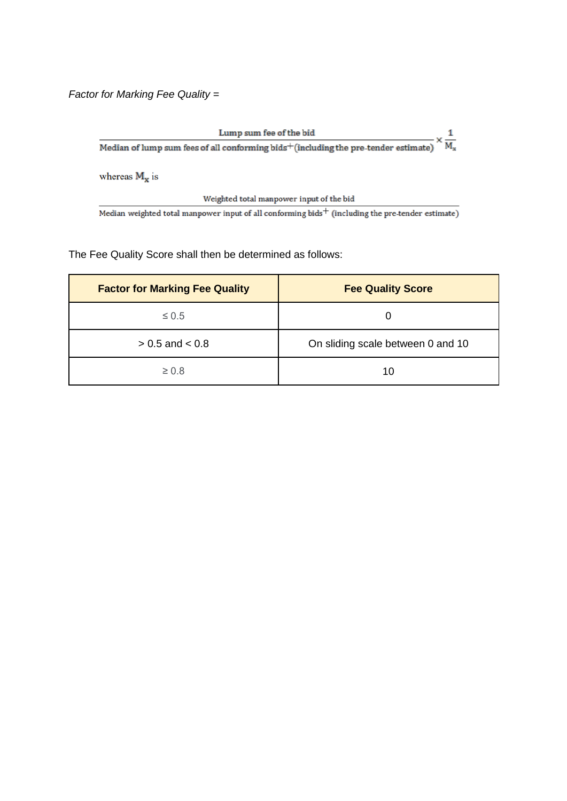*Factor for Marking Fee Quality =*

Lump sum fee of the bid  $Lump\ sum\ fee\ of\ the\ bid\ \overline{Median\ of\ lump\ sum\ fees\ of\ all\ conforming\ bids^+ (including\ the\ pre-tender\ estimate)}\times\frac{1}{M_x}$ whereas  $M_x$  is Weighted total manpower input of the bid Median weighted total manpower input of all conforming bids<sup> $+$ </sup> (including the pre-tender estimate)

The Fee Quality Score shall then be determined as follows:

| <b>Factor for Marking Fee Quality</b> | <b>Fee Quality Score</b>          |
|---------------------------------------|-----------------------------------|
| $\leq 0.5$                            |                                   |
| $> 0.5$ and $< 0.8$                   | On sliding scale between 0 and 10 |
| $\geq 0.8$                            | 10                                |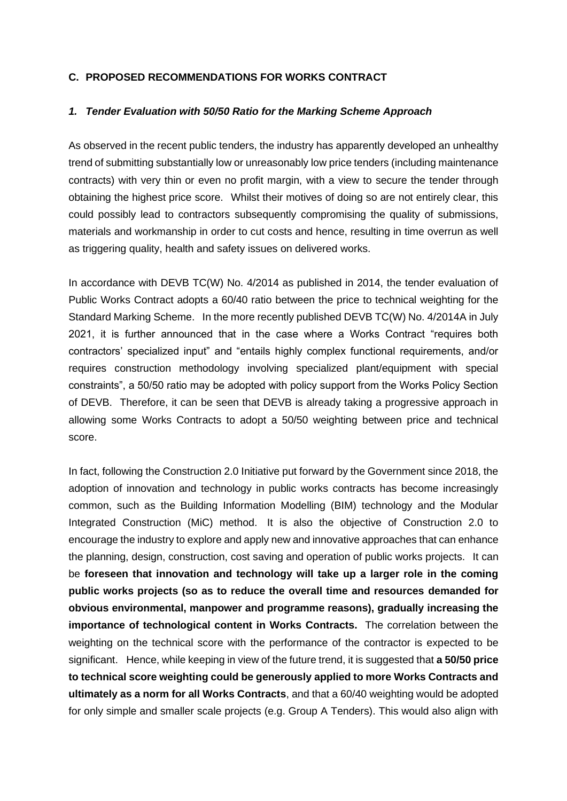#### **C. PROPOSED RECOMMENDATIONS FOR WORKS CONTRACT**

#### *1. Tender Evaluation with 50/50 Ratio for the Marking Scheme Approach*

As observed in the recent public tenders, the industry has apparently developed an unhealthy trend of submitting substantially low or unreasonably low price tenders (including maintenance contracts) with very thin or even no profit margin, with a view to secure the tender through obtaining the highest price score. Whilst their motives of doing so are not entirely clear, this could possibly lead to contractors subsequently compromising the quality of submissions, materials and workmanship in order to cut costs and hence, resulting in time overrun as well as triggering quality, health and safety issues on delivered works.

In accordance with DEVB TC(W) No. 4/2014 as published in 2014, the tender evaluation of Public Works Contract adopts a 60/40 ratio between the price to technical weighting for the Standard Marking Scheme. In the more recently published DEVB TC(W) No. 4/2014A in July 2021, it is further announced that in the case where a Works Contract "requires both contractors' specialized input" and "entails highly complex functional requirements, and/or requires construction methodology involving specialized plant/equipment with special constraints", a 50/50 ratio may be adopted with policy support from the Works Policy Section of DEVB. Therefore, it can be seen that DEVB is already taking a progressive approach in allowing some Works Contracts to adopt a 50/50 weighting between price and technical score.

In fact, following the Construction 2.0 Initiative put forward by the Government since 2018, the adoption of innovation and technology in public works contracts has become increasingly common, such as the Building Information Modelling (BIM) technology and the Modular Integrated Construction (MiC) method. It is also the objective of Construction 2.0 to encourage the industry to explore and apply new and innovative approaches that can enhance the planning, design, construction, cost saving and operation of public works projects. It can be **foreseen that innovation and technology will take up a larger role in the coming public works projects (so as to reduce the overall time and resources demanded for obvious environmental, manpower and programme reasons), gradually increasing the importance of technological content in Works Contracts.** The correlation between the weighting on the technical score with the performance of the contractor is expected to be significant. Hence, while keeping in view of the future trend, it is suggested that **a 50/50 price to technical score weighting could be generously applied to more Works Contracts and ultimately as a norm for all Works Contracts**, and that a 60/40 weighting would be adopted for only simple and smaller scale projects (e.g. Group A Tenders). This would also align with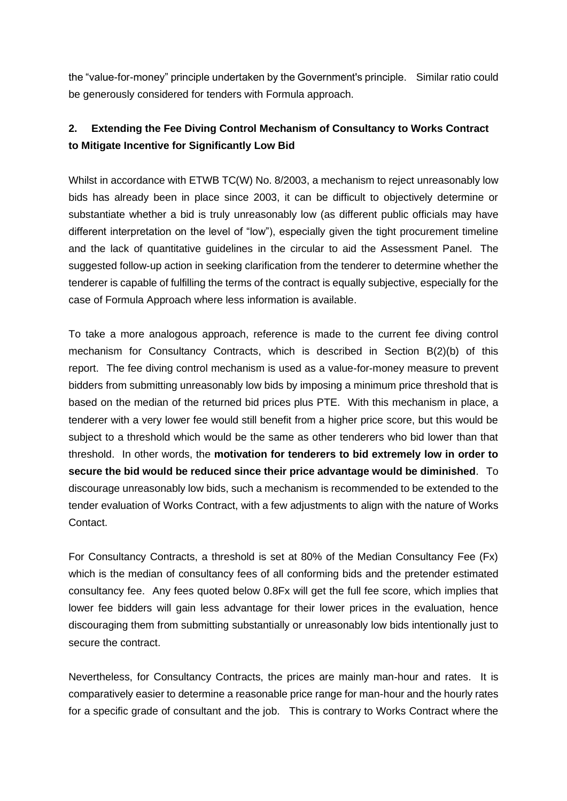the "value-for-money" principle undertaken by the Government's principle. Similar ratio could be generously considered for tenders with Formula approach.

## **2. Extending the Fee Diving Control Mechanism of Consultancy to Works Contract to Mitigate Incentive for Significantly Low Bid**

Whilst in accordance with ETWB TC(W) No. 8/2003, a mechanism to reject unreasonably low bids has already been in place since 2003, it can be difficult to objectively determine or substantiate whether a bid is truly unreasonably low (as different public officials may have different interpretation on the level of "low"), especially given the tight procurement timeline and the lack of quantitative guidelines in the circular to aid the Assessment Panel. The suggested follow-up action in seeking clarification from the tenderer to determine whether the tenderer is capable of fulfilling the terms of the contract is equally subjective, especially for the case of Formula Approach where less information is available.

To take a more analogous approach, reference is made to the current fee diving control mechanism for Consultancy Contracts, which is described in Section B(2)(b) of this report. The fee diving control mechanism is used as a value-for-money measure to prevent bidders from submitting unreasonably low bids by imposing a minimum price threshold that is based on the median of the returned bid prices plus PTE. With this mechanism in place, a tenderer with a very lower fee would still benefit from a higher price score, but this would be subject to a threshold which would be the same as other tenderers who bid lower than that threshold. In other words, the **motivation for tenderers to bid extremely low in order to secure the bid would be reduced since their price advantage would be diminished**. To discourage unreasonably low bids, such a mechanism is recommended to be extended to the tender evaluation of Works Contract, with a few adjustments to align with the nature of Works Contact.

For Consultancy Contracts, a threshold is set at 80% of the Median Consultancy Fee (Fx) which is the median of consultancy fees of all conforming bids and the pretender estimated consultancy fee. Any fees quoted below 0.8Fx will get the full fee score, which implies that lower fee bidders will gain less advantage for their lower prices in the evaluation, hence discouraging them from submitting substantially or unreasonably low bids intentionally just to secure the contract.

Nevertheless, for Consultancy Contracts, the prices are mainly man-hour and rates. It is comparatively easier to determine a reasonable price range for man-hour and the hourly rates for a specific grade of consultant and the job. This is contrary to Works Contract where the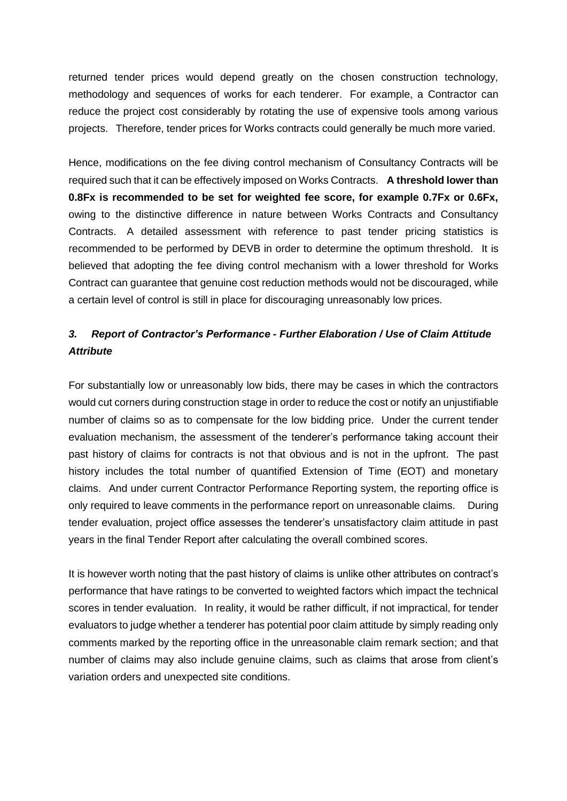returned tender prices would depend greatly on the chosen construction technology, methodology and sequences of works for each tenderer. For example, a Contractor can reduce the project cost considerably by rotating the use of expensive tools among various projects. Therefore, tender prices for Works contracts could generally be much more varied.

Hence, modifications on the fee diving control mechanism of Consultancy Contracts will be required such that it can be effectively imposed on Works Contracts. **A threshold lower than 0.8Fx is recommended to be set for weighted fee score, for example 0.7Fx or 0.6Fx,** owing to the distinctive difference in nature between Works Contracts and Consultancy Contracts. A detailed assessment with reference to past tender pricing statistics is recommended to be performed by DEVB in order to determine the optimum threshold. It is believed that adopting the fee diving control mechanism with a lower threshold for Works Contract can guarantee that genuine cost reduction methods would not be discouraged, while a certain level of control is still in place for discouraging unreasonably low prices.

## *3. Report of Contractor's Performance - Further Elaboration / Use of Claim Attitude Attribute*

For substantially low or unreasonably low bids, there may be cases in which the contractors would cut corners during construction stage in order to reduce the cost or notify an unjustifiable number of claims so as to compensate for the low bidding price. Under the current tender evaluation mechanism, the assessment of the tenderer's performance taking account their past history of claims for contracts is not that obvious and is not in the upfront. The past history includes the total number of quantified Extension of Time (EOT) and monetary claims. And under current Contractor Performance Reporting system, the reporting office is only required to leave comments in the performance report on unreasonable claims. During tender evaluation, project office assesses the tenderer's unsatisfactory claim attitude in past years in the final Tender Report after calculating the overall combined scores.

It is however worth noting that the past history of claims is unlike other attributes on contract's performance that have ratings to be converted to weighted factors which impact the technical scores in tender evaluation. In reality, it would be rather difficult, if not impractical, for tender evaluators to judge whether a tenderer has potential poor claim attitude by simply reading only comments marked by the reporting office in the unreasonable claim remark section; and that number of claims may also include genuine claims, such as claims that arose from client's variation orders and unexpected site conditions.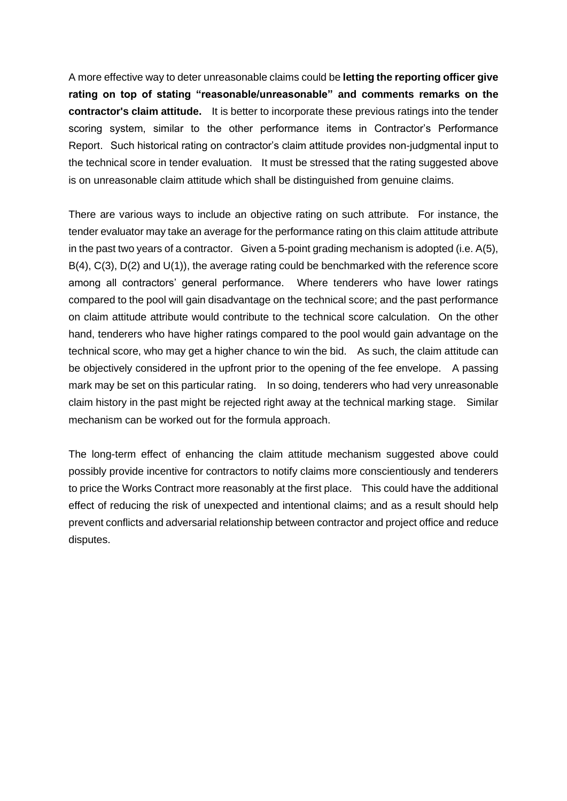A more effective way to deter unreasonable claims could be **letting the reporting officer give rating on top of stating "reasonable/unreasonable" and comments remarks on the contractor's claim attitude.** It is better to incorporate these previous ratings into the tender scoring system, similar to the other performance items in Contractor's Performance Report. Such historical rating on contractor's claim attitude provides non-judgmental input to the technical score in tender evaluation. It must be stressed that the rating suggested above is on unreasonable claim attitude which shall be distinguished from genuine claims.

There are various ways to include an objective rating on such attribute. For instance, the tender evaluator may take an average for the performance rating on this claim attitude attribute in the past two years of a contractor. Given a 5-point grading mechanism is adopted (i.e. A(5), B(4), C(3), D(2) and U(1)), the average rating could be benchmarked with the reference score among all contractors' general performance. Where tenderers who have lower ratings compared to the pool will gain disadvantage on the technical score; and the past performance on claim attitude attribute would contribute to the technical score calculation. On the other hand, tenderers who have higher ratings compared to the pool would gain advantage on the technical score, who may get a higher chance to win the bid. As such, the claim attitude can be objectively considered in the upfront prior to the opening of the fee envelope. A passing mark may be set on this particular rating. In so doing, tenderers who had very unreasonable claim history in the past might be rejected right away at the technical marking stage. Similar mechanism can be worked out for the formula approach.

The long-term effect of enhancing the claim attitude mechanism suggested above could possibly provide incentive for contractors to notify claims more conscientiously and tenderers to price the Works Contract more reasonably at the first place. This could have the additional effect of reducing the risk of unexpected and intentional claims; and as a result should help prevent conflicts and adversarial relationship between contractor and project office and reduce disputes.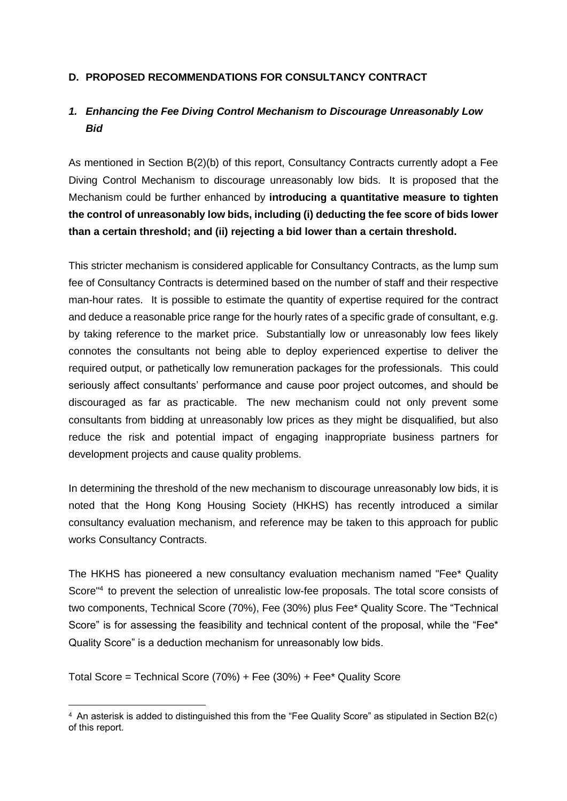#### **D. PROPOSED RECOMMENDATIONS FOR CONSULTANCY CONTRACT**

## *1. Enhancing the Fee Diving Control Mechanism to Discourage Unreasonably Low Bid*

As mentioned in Section B(2)(b) of this report, Consultancy Contracts currently adopt a Fee Diving Control Mechanism to discourage unreasonably low bids. It is proposed that the Mechanism could be further enhanced by **introducing a quantitative measure to tighten the control of unreasonably low bids, including (i) deducting the fee score of bids lower than a certain threshold; and (ii) rejecting a bid lower than a certain threshold.**

This stricter mechanism is considered applicable for Consultancy Contracts, as the lump sum fee of Consultancy Contracts is determined based on the number of staff and their respective man-hour rates. It is possible to estimate the quantity of expertise required for the contract and deduce a reasonable price range for the hourly rates of a specific grade of consultant, e.g. by taking reference to the market price. Substantially low or unreasonably low fees likely connotes the consultants not being able to deploy experienced expertise to deliver the required output, or pathetically low remuneration packages for the professionals. This could seriously affect consultants' performance and cause poor project outcomes, and should be discouraged as far as practicable. The new mechanism could not only prevent some consultants from bidding at unreasonably low prices as they might be disqualified, but also reduce the risk and potential impact of engaging inappropriate business partners for development projects and cause quality problems.

In determining the threshold of the new mechanism to discourage unreasonably low bids, it is noted that the Hong Kong Housing Society (HKHS) has recently introduced a similar consultancy evaluation mechanism, and reference may be taken to this approach for public works Consultancy Contracts.

The HKHS has pioneered a new consultancy evaluation mechanism named "Fee\* Quality Score"<sup>4</sup> to prevent the selection of unrealistic low-fee proposals. The total score consists of two components, Technical Score (70%), Fee (30%) plus Fee\* Quality Score. The "Technical Score" is for assessing the feasibility and technical content of the proposal, while the "Fee\* Quality Score" is a deduction mechanism for unreasonably low bids.

Total Score = Technical Score (70%) + Fee (30%) + Fee\* Quality Score

<sup>4</sup> An asterisk is added to distinguished this from the "Fee Quality Score" as stipulated in Section B2(c) of this report.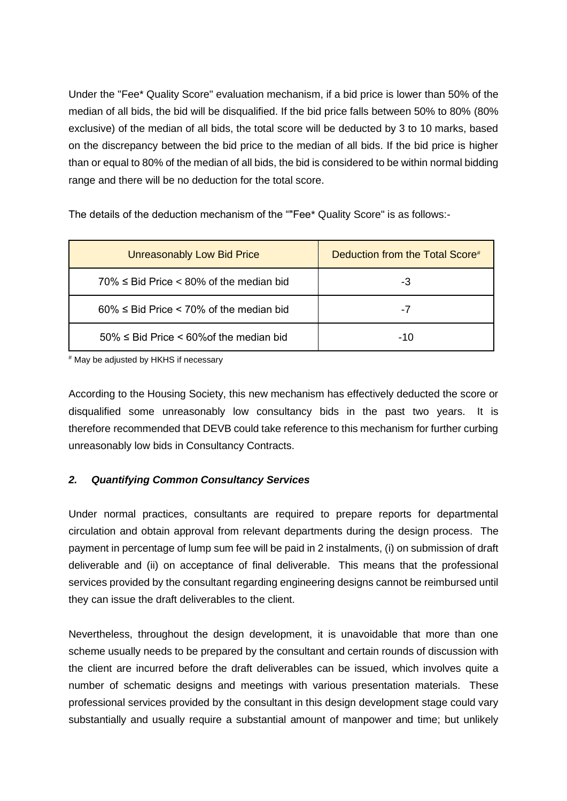Under the "Fee\* Quality Score" evaluation mechanism, if a bid price is lower than 50% of the median of all bids, the bid will be disqualified. If the bid price falls between 50% to 80% (80% exclusive) of the median of all bids, the total score will be deducted by 3 to 10 marks, based on the discrepancy between the bid price to the median of all bids. If the bid price is higher than or equal to 80% of the median of all bids, the bid is considered to be within normal bidding range and there will be no deduction for the total score.

The details of the deduction mechanism of the ""Fee\* Quality Score" is as follows:-

| <b>Unreasonably Low Bid Price</b>                   | Deduction from the Total Score# |
|-----------------------------------------------------|---------------------------------|
| $70\% \leq$ Bid Price $< 80\%$ of the median bid    | -3                              |
| $60\% \leq$ Bid Price < 70% of the median bid       | -7                              |
| $50\% \leq$ Bid Price $\leq 60\%$ of the median bid | -10                             |

# May be adjusted by HKHS if necessary

According to the Housing Society, this new mechanism has effectively deducted the score or disqualified some unreasonably low consultancy bids in the past two years. It is therefore recommended that DEVB could take reference to this mechanism for further curbing unreasonably low bids in Consultancy Contracts.

#### *2. Quantifying Common Consultancy Services*

Under normal practices, consultants are required to prepare reports for departmental circulation and obtain approval from relevant departments during the design process. The payment in percentage of lump sum fee will be paid in 2 instalments, (i) on submission of draft deliverable and (ii) on acceptance of final deliverable. This means that the professional services provided by the consultant regarding engineering designs cannot be reimbursed until they can issue the draft deliverables to the client.

Nevertheless, throughout the design development, it is unavoidable that more than one scheme usually needs to be prepared by the consultant and certain rounds of discussion with the client are incurred before the draft deliverables can be issued, which involves quite a number of schematic designs and meetings with various presentation materials. These professional services provided by the consultant in this design development stage could vary substantially and usually require a substantial amount of manpower and time; but unlikely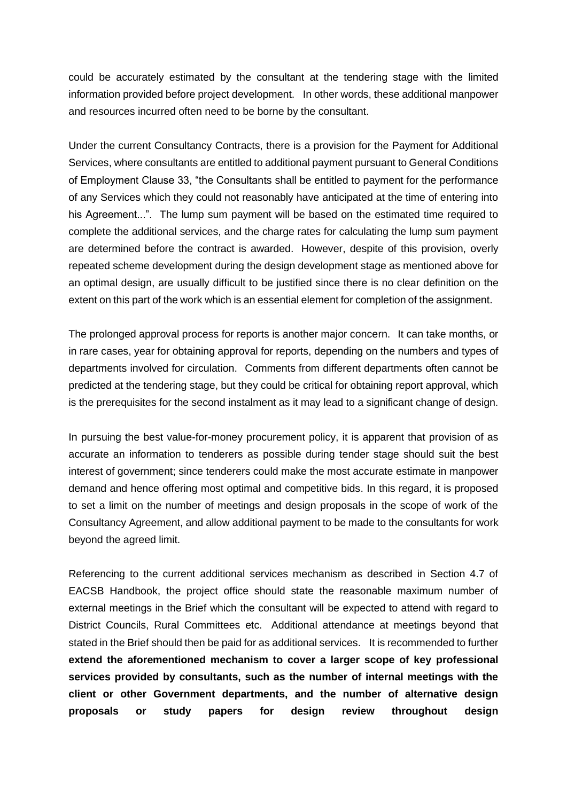could be accurately estimated by the consultant at the tendering stage with the limited information provided before project development. In other words, these additional manpower and resources incurred often need to be borne by the consultant.

Under the current Consultancy Contracts, there is a provision for the Payment for Additional Services, where consultants are entitled to additional payment pursuant to General Conditions of Employment Clause 33, "the Consultants shall be entitled to payment for the performance of any Services which they could not reasonably have anticipated at the time of entering into his Agreement...". The lump sum payment will be based on the estimated time required to complete the additional services, and the charge rates for calculating the lump sum payment are determined before the contract is awarded. However, despite of this provision, overly repeated scheme development during the design development stage as mentioned above for an optimal design, are usually difficult to be justified since there is no clear definition on the extent on this part of the work which is an essential element for completion of the assignment.

The prolonged approval process for reports is another major concern. It can take months, or in rare cases, year for obtaining approval for reports, depending on the numbers and types of departments involved for circulation. Comments from different departments often cannot be predicted at the tendering stage, but they could be critical for obtaining report approval, which is the prerequisites for the second instalment as it may lead to a significant change of design.

In pursuing the best value-for-money procurement policy, it is apparent that provision of as accurate an information to tenderers as possible during tender stage should suit the best interest of government; since tenderers could make the most accurate estimate in manpower demand and hence offering most optimal and competitive bids. In this regard, it is proposed to set a limit on the number of meetings and design proposals in the scope of work of the Consultancy Agreement, and allow additional payment to be made to the consultants for work beyond the agreed limit.

Referencing to the current additional services mechanism as described in Section 4.7 of EACSB Handbook, the project office should state the reasonable maximum number of external meetings in the Brief which the consultant will be expected to attend with regard to District Councils, Rural Committees etc. Additional attendance at meetings beyond that stated in the Brief should then be paid for as additional services. It is recommended to further **extend the aforementioned mechanism to cover a larger scope of key professional services provided by consultants, such as the number of internal meetings with the client or other Government departments, and the number of alternative design proposals or study papers for design review throughout design**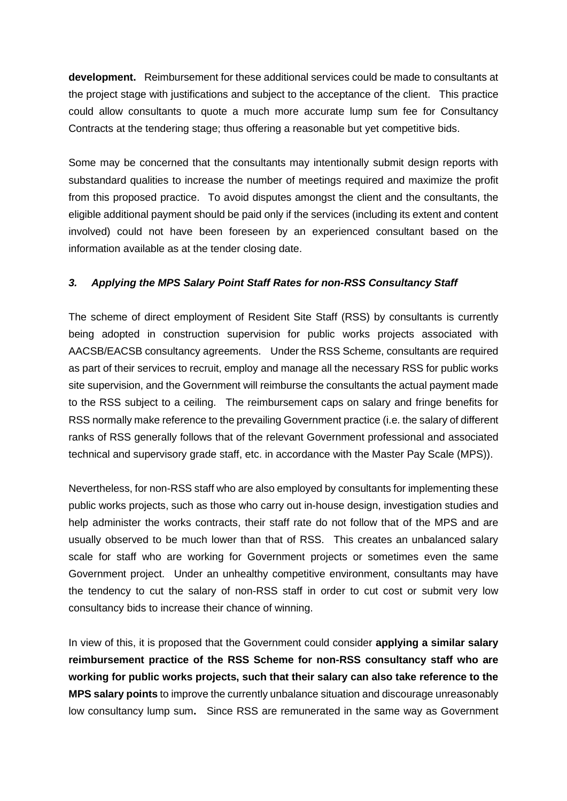**development.** Reimbursement for these additional services could be made to consultants at the project stage with justifications and subject to the acceptance of the client. This practice could allow consultants to quote a much more accurate lump sum fee for Consultancy Contracts at the tendering stage; thus offering a reasonable but yet competitive bids.

Some may be concerned that the consultants may intentionally submit design reports with substandard qualities to increase the number of meetings required and maximize the profit from this proposed practice. To avoid disputes amongst the client and the consultants, the eligible additional payment should be paid only if the services (including its extent and content involved) could not have been foreseen by an experienced consultant based on the information available as at the tender closing date.

#### *3. Applying the MPS Salary Point Staff Rates for non-RSS Consultancy Staff*

The scheme of direct employment of Resident Site Staff (RSS) by consultants is currently being adopted in construction supervision for public works projects associated with AACSB/EACSB consultancy agreements. Under the RSS Scheme, consultants are required as part of their services to recruit, employ and manage all the necessary RSS for public works site supervision, and the Government will reimburse the consultants the actual payment made to the RSS subject to a ceiling. The reimbursement caps on salary and fringe benefits for RSS normally make reference to the prevailing Government practice (i.e. the salary of different ranks of RSS generally follows that of the relevant Government professional and associated technical and supervisory grade staff, etc. in accordance with the Master Pay Scale (MPS)).

Nevertheless, for non-RSS staff who are also employed by consultants for implementing these public works projects, such as those who carry out in-house design, investigation studies and help administer the works contracts, their staff rate do not follow that of the MPS and are usually observed to be much lower than that of RSS. This creates an unbalanced salary scale for staff who are working for Government projects or sometimes even the same Government project. Under an unhealthy competitive environment, consultants may have the tendency to cut the salary of non-RSS staff in order to cut cost or submit very low consultancy bids to increase their chance of winning.

In view of this, it is proposed that the Government could consider **applying a similar salary reimbursement practice of the RSS Scheme for non-RSS consultancy staff who are working for public works projects, such that their salary can also take reference to the MPS salary points** to improve the currently unbalance situation and discourage unreasonably low consultancy lump sum**.** Since RSS are remunerated in the same way as Government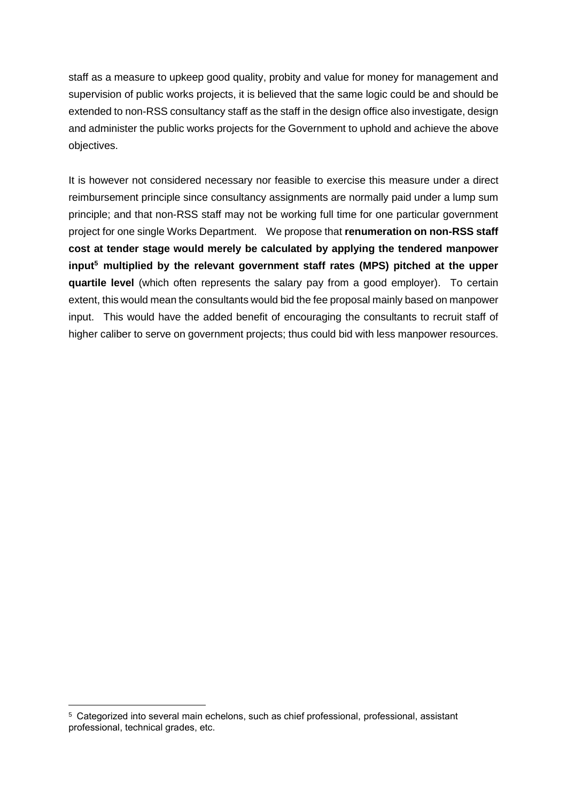staff as a measure to upkeep good quality, probity and value for money for management and supervision of public works projects, it is believed that the same logic could be and should be extended to non-RSS consultancy staff as the staff in the design office also investigate, design and administer the public works projects for the Government to uphold and achieve the above objectives.

It is however not considered necessary nor feasible to exercise this measure under a direct reimbursement principle since consultancy assignments are normally paid under a lump sum principle; and that non-RSS staff may not be working full time for one particular government project for one single Works Department. We propose that **renumeration on non-RSS staff cost at tender stage would merely be calculated by applying the tendered manpower input<sup>5</sup> multiplied by the relevant government staff rates (MPS) pitched at the upper quartile level** (which often represents the salary pay from a good employer). To certain extent, this would mean the consultants would bid the fee proposal mainly based on manpower input. This would have the added benefit of encouraging the consultants to recruit staff of higher caliber to serve on government projects; thus could bid with less manpower resources.

<sup>5</sup> Categorized into several main echelons, such as chief professional, professional, assistant professional, technical grades, etc.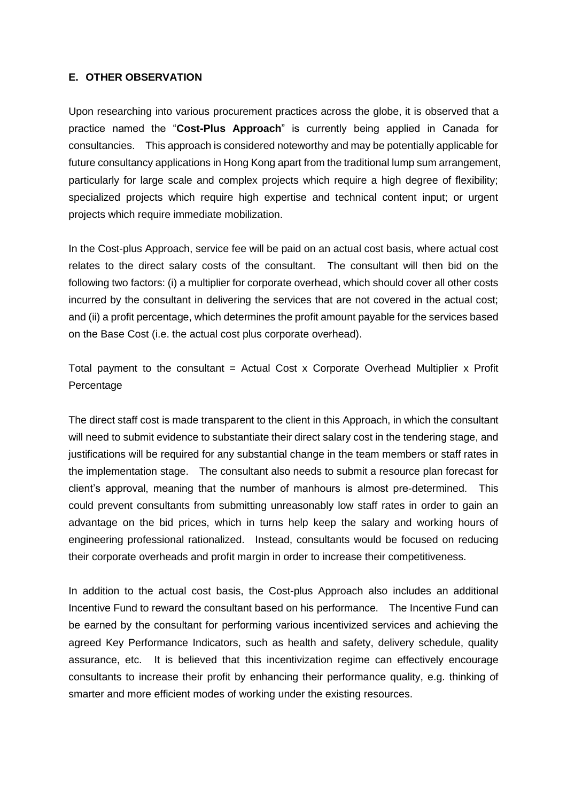#### **E. OTHER OBSERVATION**

Upon researching into various procurement practices across the globe, it is observed that a practice named the "**Cost-Plus Approach**" is currently being applied in Canada for consultancies. This approach is considered noteworthy and may be potentially applicable for future consultancy applications in Hong Kong apart from the traditional lump sum arrangement, particularly for large scale and complex projects which require a high degree of flexibility; specialized projects which require high expertise and technical content input; or urgent projects which require immediate mobilization.

In the Cost-plus Approach, service fee will be paid on an actual cost basis, where actual cost relates to the direct salary costs of the consultant. The consultant will then bid on the following two factors: (i) a multiplier for corporate overhead, which should cover all other costs incurred by the consultant in delivering the services that are not covered in the actual cost; and (ii) a profit percentage, which determines the profit amount payable for the services based on the Base Cost (i.e. the actual cost plus corporate overhead).

Total payment to the consultant = Actual Cost x Corporate Overhead Multiplier x Profit Percentage

The direct staff cost is made transparent to the client in this Approach, in which the consultant will need to submit evidence to substantiate their direct salary cost in the tendering stage, and justifications will be required for any substantial change in the team members or staff rates in the implementation stage. The consultant also needs to submit a resource plan forecast for client's approval, meaning that the number of manhours is almost pre-determined. This could prevent consultants from submitting unreasonably low staff rates in order to gain an advantage on the bid prices, which in turns help keep the salary and working hours of engineering professional rationalized. Instead, consultants would be focused on reducing their corporate overheads and profit margin in order to increase their competitiveness.

In addition to the actual cost basis, the Cost-plus Approach also includes an additional Incentive Fund to reward the consultant based on his performance. The Incentive Fund can be earned by the consultant for performing various incentivized services and achieving the agreed Key Performance Indicators, such as health and safety, delivery schedule, quality assurance, etc. It is believed that this incentivization regime can effectively encourage consultants to increase their profit by enhancing their performance quality, e.g. thinking of smarter and more efficient modes of working under the existing resources.